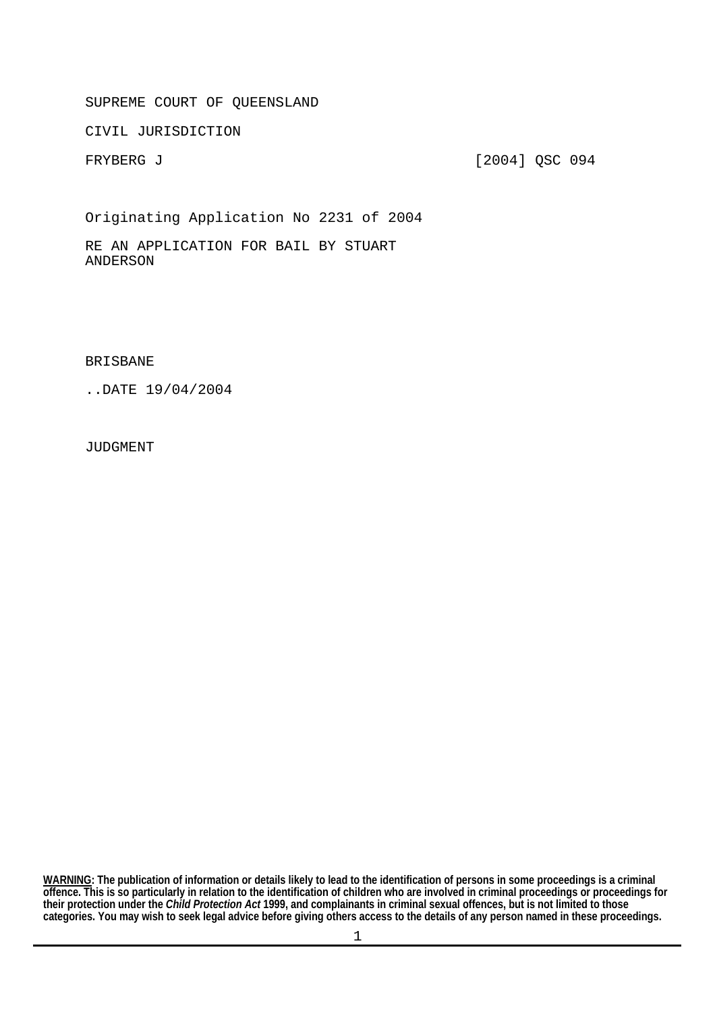SUPREME COURT OF QUEENSLAND

CIVIL JURISDICTION

FRYBERG J [2004] QSC 094

Originating Application No 2231 of 2004

RE AN APPLICATION FOR BAIL BY STUART ANDERSON

BRISBANE

..DATE 19/04/2004

JUDGMENT

**categories. You may wish to seek legal advice before giving others access to the details of any person named in these proceedings. WARNING: The publication of information or details likely to lead to the identification of persons in some proceedings is a criminal offence. This is so particularly in relation to the identification of children who are involved in criminal proceedings or proceedings for their protection under the** *Child Protection Act* **1999, and complainants in criminal sexual offences, but is not limited to those**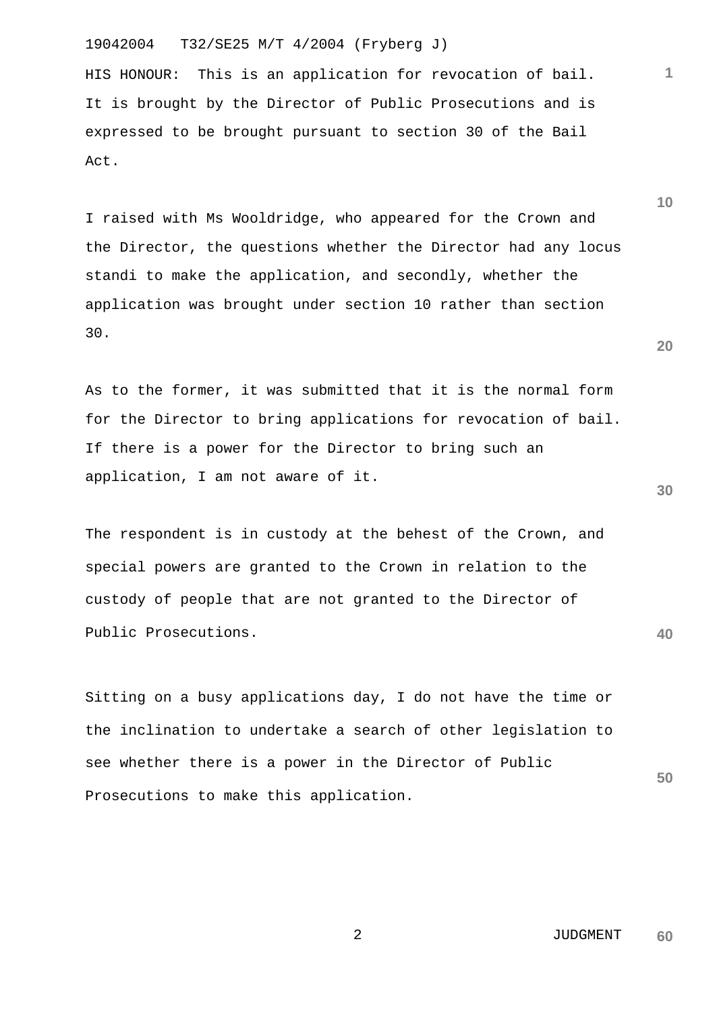# 19042004 T32/SE25 M/T 4/2004 (Fryberg J)

HIS HONOUR: This is an application for revocation of bail. It is brought by the Director of Public Prosecutions and is expressed to be brought pursuant to section 30 of the Bail Act.

I raised with Ms Wooldridge, who appeared for the Crown and the Director, the questions whether the Director had any locus standi to make the application, and secondly, whether the application was brought under section 10 rather than section 30.

As to the former, it was submitted that it is the normal form for the Director to bring applications for revocation of bail. If there is a power for the Director to bring such an application, I am not aware of it.

The respondent is in custody at the behest of the Crown, and special powers are granted to the Crown in relation to the custody of people that are not granted to the Director of Public Prosecutions.

Sitting on a busy applications day, I do not have the time or the inclination to undertake a search of other legislation to see whether there is a power in the Director of Public Prosecutions to make this application.

> 2 JUDGMENT **60**

**30** 

**40** 

**50** 

**20** 

**10**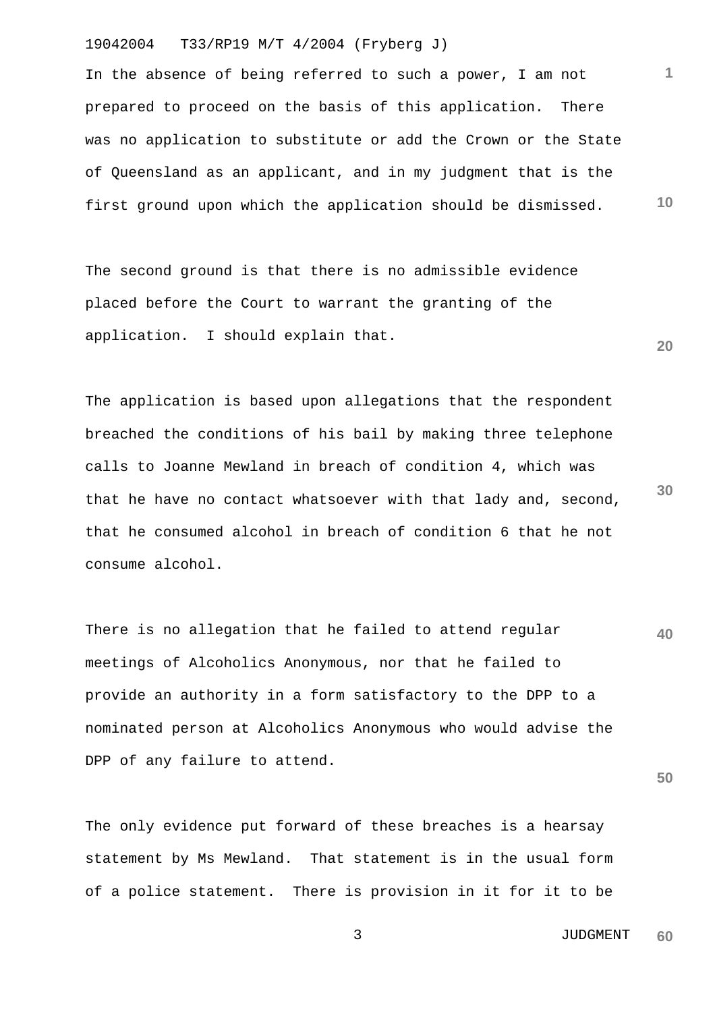### 19042004 T33/RP19 M/T 4/2004 (Fryberg J)

**10**  In the absence of being referred to such a power, I am not prepared to proceed on the basis of this application. There was no application to substitute or add the Crown or the State of Queensland as an applicant, and in my judgment that is the first ground upon which the application should be dismissed.

The second ground is that there is no admissible evidence placed before the Court to warrant the granting of the application. I should explain that.

**30**  The application is based upon allegations that the respondent breached the conditions of his bail by making three telephone calls to Joanne Mewland in breach of condition 4, which was that he have no contact whatsoever with that lady and, second, that he consumed alcohol in breach of condition 6 that he not consume alcohol.

**40**  There is no allegation that he failed to attend regular meetings of Alcoholics Anonymous, nor that he failed to provide an authority in a form satisfactory to the DPP to a nominated person at Alcoholics Anonymous who would advise the DPP of any failure to attend.

The only evidence put forward of these breaches is a hearsay statement by Ms Mewland. That statement is in the usual form of a police statement. There is provision in it for it to be

> 3 JUDGMENT **60**

**50** 

**1**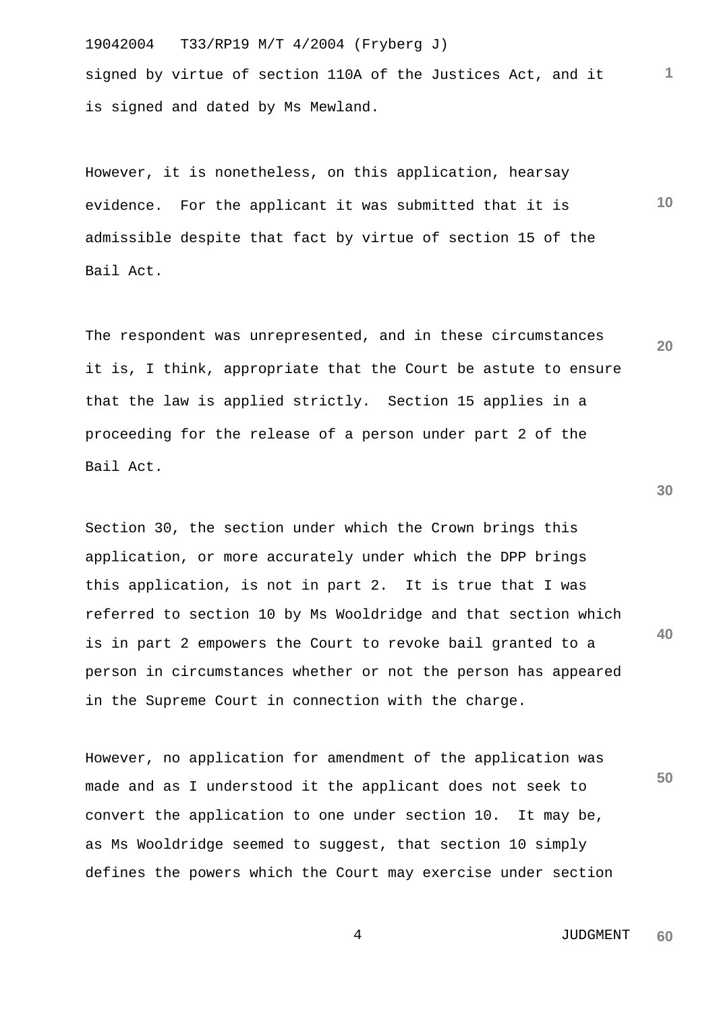19042004 T33/RP19 M/T 4/2004 (Fryberg J) signed by virtue of section 110A of the Justices Act, and it is signed and dated by Ms Mewland.

**10**  However, it is nonetheless, on this application, hearsay evidence. For the applicant it was submitted that it is admissible despite that fact by virtue of section 15 of the Bail Act.

The respondent was unrepresented, and in these circumstances it is, I think, appropriate that the Court be astute to ensure that the law is applied strictly. Section 15 applies in a proceeding for the release of a person under part 2 of the Bail Act.

Section 30, the section under which the Crown brings this application, or more accurately under which the DPP brings this application, is not in part 2. It is true that I was referred to section 10 by Ms Wooldridge and that section which is in part 2 empowers the Court to revoke bail granted to a person in circumstances whether or not the person has appeared in the Supreme Court in connection with the charge.

However, no application for amendment of the application was made and as I understood it the applicant does not seek to convert the application to one under section 10. It may be, as Ms Wooldridge seemed to suggest, that section 10 simply defines the powers which the Court may exercise under section

**50** 

**40** 

**1**

**20**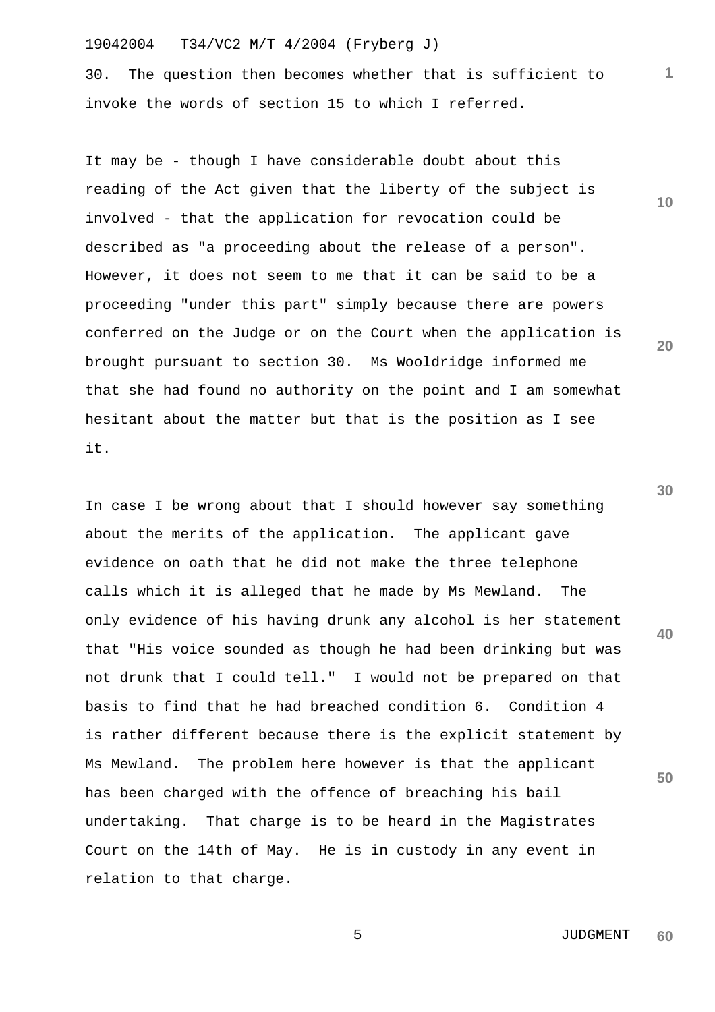19042004 T34/VC2 M/T 4/2004 (Fryberg J)

30. The question then becomes whether that is sufficient to invoke the words of section 15 to which I referred.

It may be - though I have considerable doubt about this reading of the Act given that the liberty of the subject is involved - that the application for revocation could be described as "a proceeding about the release of a person". However, it does not seem to me that it can be said to be a proceeding "under this part" simply because there are powers conferred on the Judge or on the Court when the application is brought pursuant to section 30. Ms Wooldridge informed me that she had found no authority on the point and I am somewhat hesitant about the matter but that is the position as I see it.

In case I be wrong about that I should however say something about the merits of the application. The applicant gave evidence on oath that he did not make the three telephone calls which it is alleged that he made by Ms Mewland. The only evidence of his having drunk any alcohol is her statement that "His voice sounded as though he had been drinking but was not drunk that I could tell." I would not be prepared on that basis to find that he had breached condition 6. Condition 4 is rather different because there is the explicit statement by Ms Mewland. The problem here however is that the applicant has been charged with the offence of breaching his bail undertaking. That charge is to be heard in the Magistrates Court on the 14th of May. He is in custody in any event in relation to that charge.

**20** 

**1**

**10** 

**30** 

**40**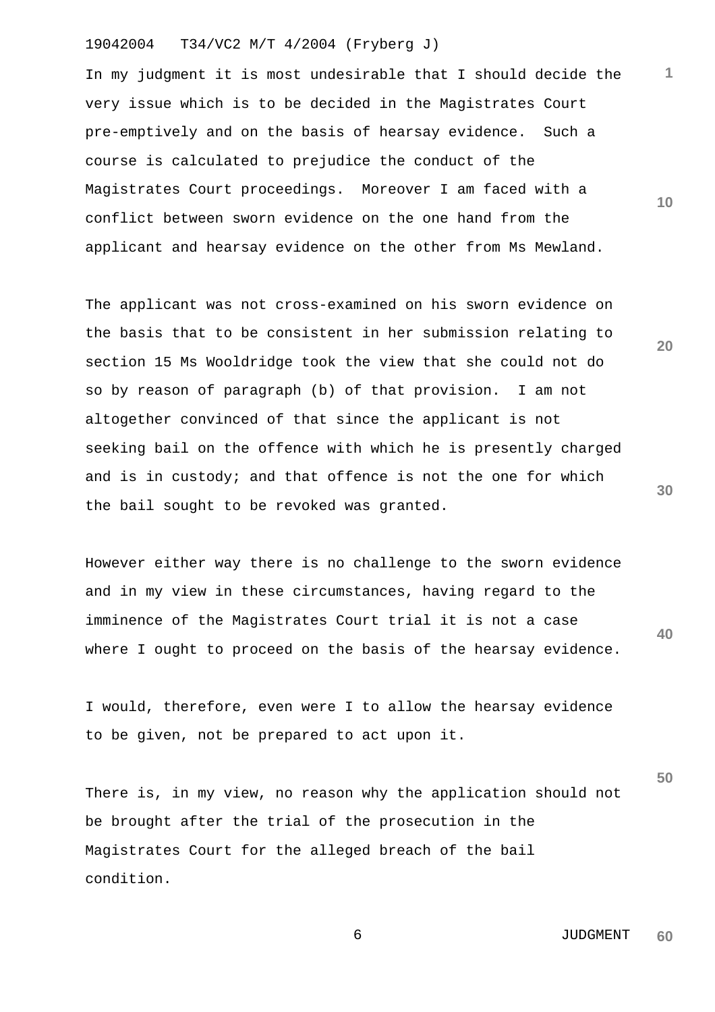## 19042004 T34/VC2 M/T 4/2004 (Fryberg J)

**10**  In my judgment it is most undesirable that I should decide the very issue which is to be decided in the Magistrates Court pre-emptively and on the basis of hearsay evidence. Such a course is calculated to prejudice the conduct of the Magistrates Court proceedings. Moreover I am faced with a conflict between sworn evidence on the one hand from the applicant and hearsay evidence on the other from Ms Mewland.

The applicant was not cross-examined on his sworn evidence on the basis that to be consistent in her submission relating to section 15 Ms Wooldridge took the view that she could not do so by reason of paragraph (b) of that provision. I am not altogether convinced of that since the applicant is not seeking bail on the offence with which he is presently charged and is in custody; and that offence is not the one for which the bail sought to be revoked was granted.

**40**  However either way there is no challenge to the sworn evidence and in my view in these circumstances, having regard to the imminence of the Magistrates Court trial it is not a case where I ought to proceed on the basis of the hearsay evidence.

I would, therefore, even were I to allow the hearsay evidence to be given, not be prepared to act upon it.

**50**  There is, in my view, no reason why the application should not be brought after the trial of the prosecution in the Magistrates Court for the alleged breach of the bail condition.

> 6 JUDGMENT **60**

**30** 

**20**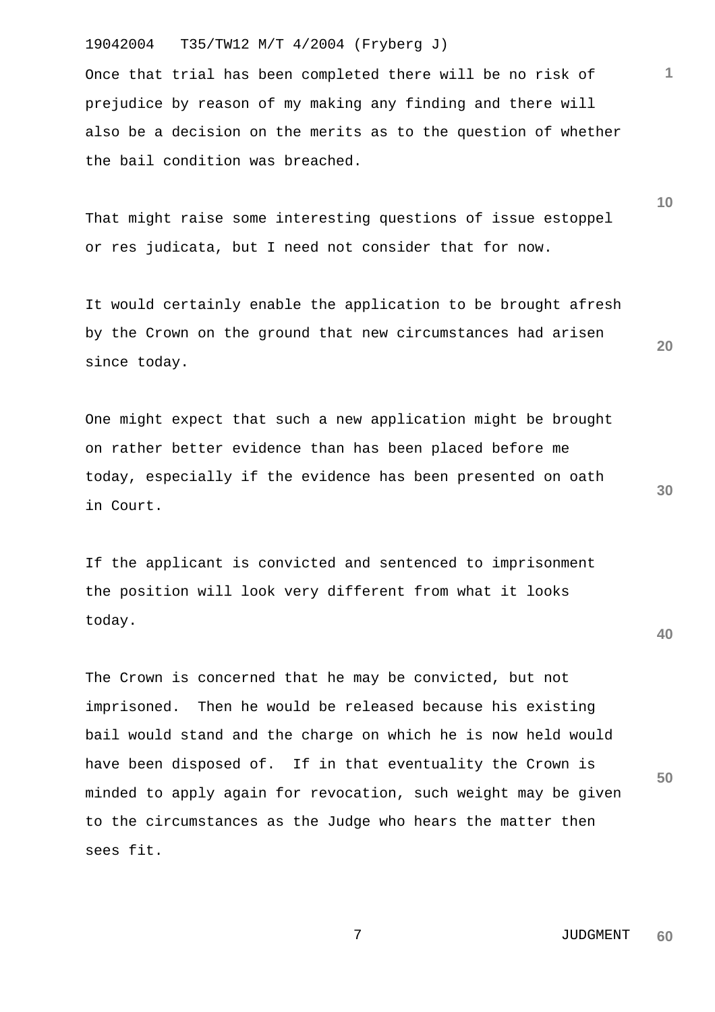## 19042004 T35/TW12 M/T 4/2004 (Fryberg J)

Once that trial has been completed there will be no risk of prejudice by reason of my making any finding and there will also be a decision on the merits as to the question of whether the bail condition was breached.

That might raise some interesting questions of issue estoppel or res judicata, but I need not consider that for now.

It would certainly enable the application to be brought afresh by the Crown on the ground that new circumstances had arisen since today.

One might expect that such a new application might be brought on rather better evidence than has been placed before me today, especially if the evidence has been presented on oath in Court.

If the applicant is convicted and sentenced to imprisonment the position will look very different from what it looks today.

The Crown is concerned that he may be convicted, but not imprisoned. Then he would be released because his existing bail would stand and the charge on which he is now held would have been disposed of. If in that eventuality the Crown is minded to apply again for revocation, such weight may be given to the circumstances as the Judge who hears the matter then sees fit.

**10** 

**1**

**20** 

**30** 

**40**